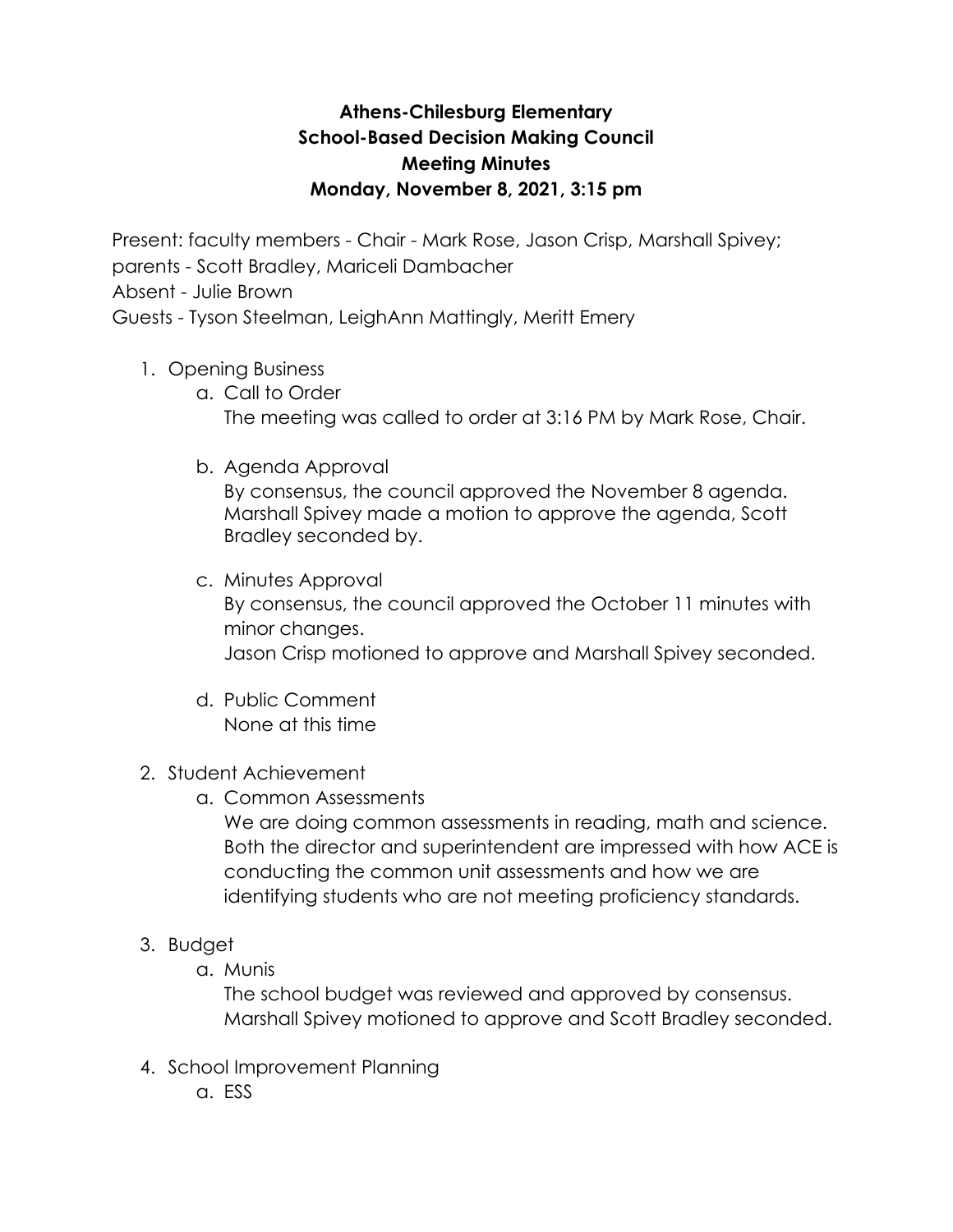## **Athens-Chilesburg Elementary School-Based Decision Making Council Meeting Minutes Monday, November 8, 2021, 3:15 pm**

Present: faculty members - Chair - Mark Rose, Jason Crisp, Marshall Spivey;

- parents Scott Bradley, Mariceli Dambacher
- Absent Julie Brown

Guests - Tyson Steelman, LeighAnn Mattingly, Meritt Emery

- 1. Opening Business
	- a. Call to Order The meeting was called to order at 3:16 PM by Mark Rose, Chair.
	- b. Agenda Approval

By consensus, the council approved the November 8 agenda. Marshall Spivey made a motion to approve the agenda, Scott Bradley seconded by.

- c. Minutes Approval By consensus, the council approved the October 11 minutes with minor changes. Jason Crisp motioned to approve and Marshall Spivey seconded.
- d. Public Comment None at this time
- 2. Student Achievement
	- a. Common Assessments

We are doing common assessments in reading, math and science. Both the director and superintendent are impressed with how ACE is conducting the common unit assessments and how we are identifying students who are not meeting proficiency standards.

- 3. Budget
	- a. Munis

The school budget was reviewed and approved by consensus. Marshall Spivey motioned to approve and Scott Bradley seconded.

- 4. School Improvement Planning
	- a. ESS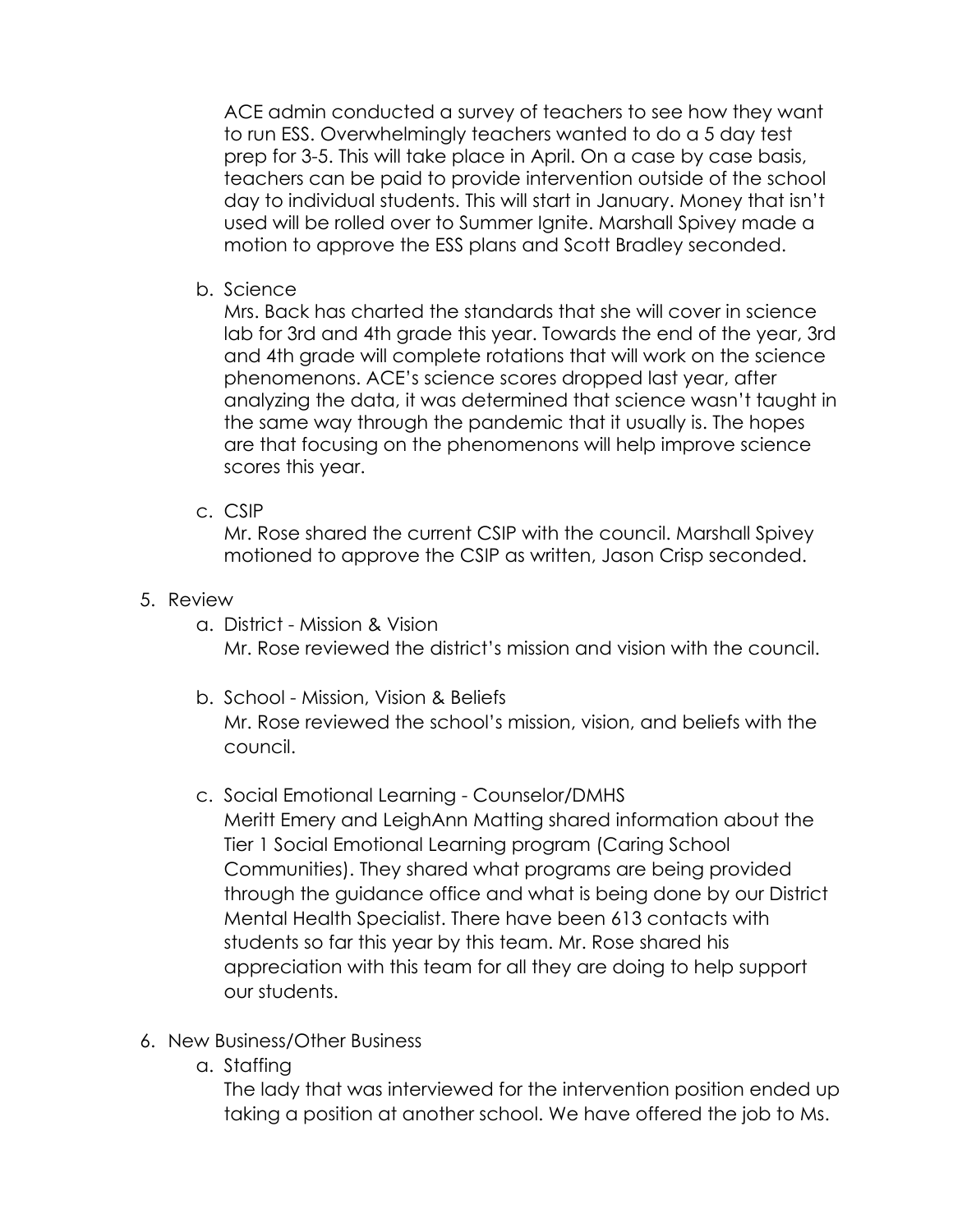ACE admin conducted a survey of teachers to see how they want to run ESS. Overwhelmingly teachers wanted to do a 5 day test prep for 3-5. This will take place in April. On a case by case basis, teachers can be paid to provide intervention outside of the school day to individual students. This will start in January. Money that isn't used will be rolled over to Summer Ignite. Marshall Spivey made a motion to approve the ESS plans and Scott Bradley seconded.

b. Science

Mrs. Back has charted the standards that she will cover in science lab for 3rd and 4th grade this year. Towards the end of the year, 3rd and 4th grade will complete rotations that will work on the science phenomenons. ACE's science scores dropped last year, after analyzing the data, it was determined that science wasn't taught in the same way through the pandemic that it usually is. The hopes are that focusing on the phenomenons will help improve science scores this year.

c. CSIP

Mr. Rose shared the current CSIP with the council. Marshall Spivey motioned to approve the CSIP as written, Jason Crisp seconded.

- 5. Review
	- a. District Mission & Vision Mr. Rose reviewed the district's mission and vision with the council.
	- b. School Mission, Vision & Beliefs Mr. Rose reviewed the school's mission, vision, and beliefs with the council.
	- c. Social Emotional Learning Counselor/DMHS Meritt Emery and LeighAnn Matting shared information about the Tier 1 Social Emotional Learning program (Caring School Communities). They shared what programs are being provided through the guidance office and what is being done by our District Mental Health Specialist. There have been 613 contacts with students so far this year by this team. Mr. Rose shared his appreciation with this team for all they are doing to help support our students.
- 6. New Business/Other Business
	- a. Staffing

The lady that was interviewed for the intervention position ended up taking a position at another school. We have offered the job to Ms.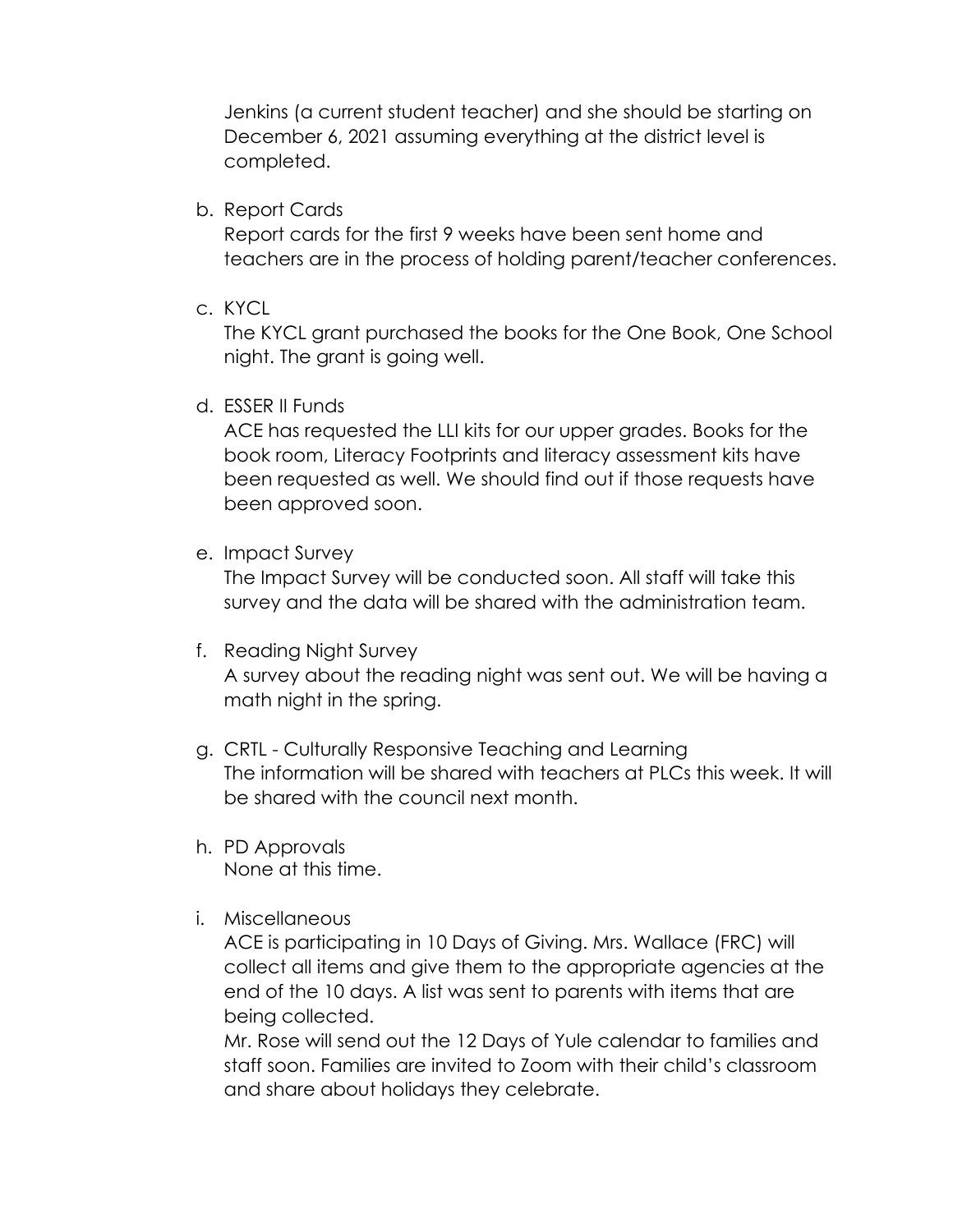Jenkins (a current student teacher) and she should be starting on December 6, 2021 assuming everything at the district level is completed.

b. Report Cards

Report cards for the first 9 weeks have been sent home and teachers are in the process of holding parent/teacher conferences.

c. KYCL

The KYCL grant purchased the books for the One Book, One School night. The grant is going well.

## d. ESSER II Funds

ACE has requested the LLI kits for our upper grades. Books for the book room, Literacy Footprints and literacy assessment kits have been requested as well. We should find out if those requests have been approved soon.

e. Impact Survey

The Impact Survey will be conducted soon. All staff will take this survey and the data will be shared with the administration team.

## f. Reading Night Survey

A survey about the reading night was sent out. We will be having a math night in the spring.

- g. CRTL Culturally Responsive Teaching and Learning The information will be shared with teachers at PLCs this week. It will be shared with the council next month.
- h. PD Approvals None at this time.
- i. Miscellaneous

ACE is participating in 10 Days of Giving. Mrs. Wallace (FRC) will collect all items and give them to the appropriate agencies at the end of the 10 days. A list was sent to parents with items that are being collected.

Mr. Rose will send out the 12 Days of Yule calendar to families and staff soon. Families are invited to Zoom with their child's classroom and share about holidays they celebrate.